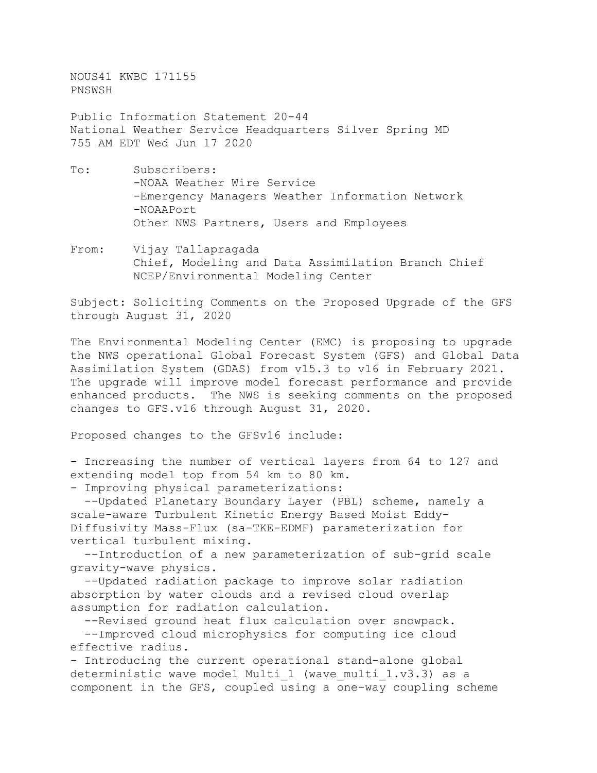NOUS41 KWBC 171155 PNSWSH

Public Information Statement 20-44 National Weather Service Headquarters Silver Spring MD 755 AM EDT Wed Jun 17 2020

- To: Subscribers: -NOAA Weather Wire Service -Emergency Managers Weather Information Network -NOAAPort Other NWS Partners, Users and Employees
- From: Vijay Tallapragada Chief, Modeling and Data Assimilation Branch Chief NCEP/Environmental Modeling Center

Subject: Soliciting Comments on the Proposed Upgrade of the GFS through August 31, 2020

The Environmental Modeling Center (EMC) is proposing to upgrade the NWS operational Global Forecast System (GFS) and Global Data Assimilation System (GDAS) from v15.3 to v16 in February 2021. The upgrade will improve model forecast performance and provide enhanced products. The NWS is seeking comments on the proposed changes to GFS.v16 through August 31, 2020.

Proposed changes to the GFSv16 include:

- Increasing the number of vertical layers from 64 to 127 and extending model top from 54 km to 80 km.

- Improving physical parameterizations:

--Updated Planetary Boundary Layer (PBL) scheme, namely a scale-aware Turbulent Kinetic Energy Based Moist Eddy-Diffusivity Mass-Flux (sa-TKE-EDMF) parameterization for vertical turbulent mixing.

 --Introduction of a new parameterization of sub-grid scale gravity-wave physics.

 --Updated radiation package to improve solar radiation absorption by water clouds and a revised cloud overlap assumption for radiation calculation.

 --Revised ground heat flux calculation over snowpack. --Improved cloud microphysics for computing ice cloud effective radius.

- Introducing the current operational stand-alone global deterministic wave model Multi 1 (wave multi 1.v3.3) as a component in the GFS, coupled using a one-way coupling scheme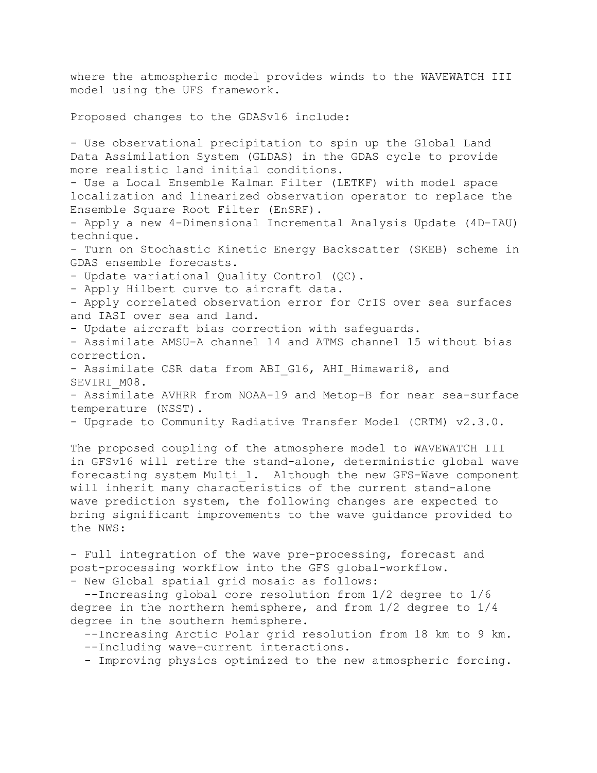where the atmospheric model provides winds to the WAVEWATCH III model using the UFS framework.

Proposed changes to the GDASv16 include:

- Use observational precipitation to spin up the Global Land Data Assimilation System (GLDAS) in the GDAS cycle to provide more realistic land initial conditions.

- Use a Local Ensemble Kalman Filter (LETKF) with model space localization and linearized observation operator to replace the Ensemble Square Root Filter (EnSRF).

- Apply a new 4-Dimensional Incremental Analysis Update (4D-IAU) technique.

- Turn on Stochastic Kinetic Energy Backscatter (SKEB) scheme in GDAS ensemble forecasts.

- Update variational Quality Control (QC).

- Apply Hilbert curve to aircraft data.

- Apply correlated observation error for CrIS over sea surfaces and IASI over sea and land.

- Update aircraft bias correction with safeguards.

- Assimilate AMSU-A channel 14 and ATMS channel 15 without bias correction.

- Assimilate CSR data from ABI G16, AHI Himawari8, and SEVIRI M08.

- Assimilate AVHRR from NOAA-19 and Metop-B for near sea-surface temperature (NSST).

- Upgrade to Community Radiative Transfer Model (CRTM) v2.3.0.

The proposed coupling of the atmosphere model to WAVEWATCH III in GFSv16 will retire the stand-alone, deterministic global wave forecasting system Multi\_1. Although the new GFS-Wave component will inherit many characteristics of the current stand-alone wave prediction system, the following changes are expected to bring significant improvements to the wave guidance provided to the NWS:

- Full integration of the wave pre-processing, forecast and post-processing workflow into the GFS global-workflow.

- New Global spatial grid mosaic as follows:

 --Increasing global core resolution from 1/2 degree to 1/6 degree in the northern hemisphere, and from 1/2 degree to 1/4 degree in the southern hemisphere.

 --Increasing Arctic Polar grid resolution from 18 km to 9 km. --Including wave-current interactions.

- Improving physics optimized to the new atmospheric forcing.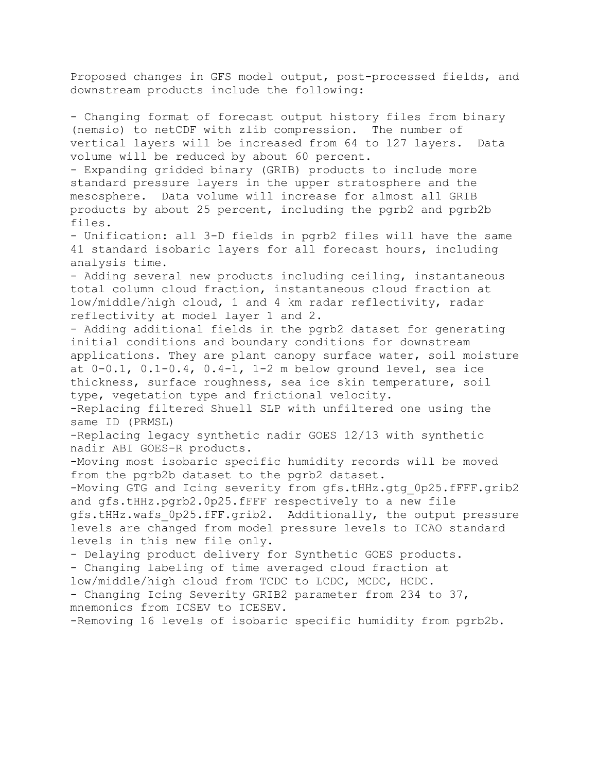Proposed changes in GFS model output, post-processed fields, and downstream products include the following:

- Changing format of forecast output history files from binary (nemsio) to netCDF with zlib compression. The number of vertical layers will be increased from 64 to 127 layers. Data volume will be reduced by about 60 percent. - Expanding gridded binary (GRIB) products to include more standard pressure layers in the upper stratosphere and the mesosphere. Data volume will increase for almost all GRIB products by about 25 percent, including the pgrb2 and pgrb2b files. - Unification: all 3-D fields in pgrb2 files will have the same 41 standard isobaric layers for all forecast hours, including analysis time. - Adding several new products including ceiling, instantaneous total column cloud fraction, instantaneous cloud fraction at low/middle/high cloud, 1 and 4 km radar reflectivity, radar reflectivity at model layer 1 and 2. - Adding additional fields in the pgrb2 dataset for generating initial conditions and boundary conditions for downstream applications. They are plant canopy surface water, soil moisture at  $0-0.1$ ,  $0.1-0.4$ ,  $0.4-1$ ,  $1-2$  m below ground level, sea ice thickness, surface roughness, sea ice skin temperature, soil type, vegetation type and frictional velocity. -Replacing filtered Shuell SLP with unfiltered one using the same ID (PRMSL) -Replacing legacy synthetic nadir GOES 12/13 with synthetic nadir ABI GOES-R products. -Moving most isobaric specific humidity records will be moved from the pgrb2b dataset to the pgrb2 dataset. -Moving GTG and Icing severity from gfs.tHHz.gtg 0p25.fFFF.grib2 and gfs.tHHz.pgrb2.0p25.fFFF respectively to a new file gfs.tHHz.wafs\_0p25.fFF.grib2. Additionally, the output pressure levels are changed from model pressure levels to ICAO standard levels in this new file only. - Delaying product delivery for Synthetic GOES products. - Changing labeling of time averaged cloud fraction at low/middle/high cloud from TCDC to LCDC, MCDC, HCDC. - Changing Icing Severity GRIB2 parameter from 234 to 37, mnemonics from ICSEV to ICESEV. -Removing 16 levels of isobaric specific humidity from pgrb2b.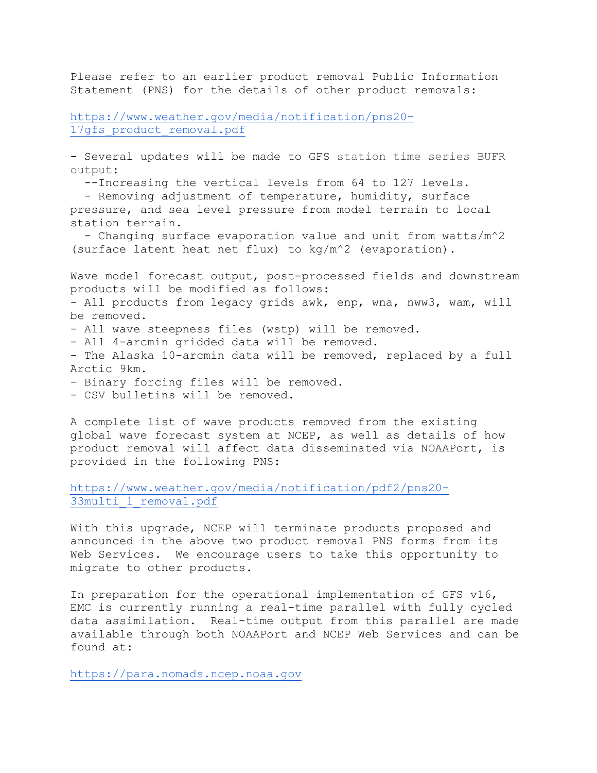Please refer to an earlier product removal Public Information Statement (PNS) for the details of other product removals:

[https://www.weather.gov/media/notification/pns20-](https://www.weather.gov/media/notification/pns20-17gfs_product_removal.pdf) 17qfs product removal.pdf

- Several updates will be made to GFS station time series BUFR output:

--Increasing the vertical levels from 64 to 127 levels.

 - Removing adjustment of temperature, humidity, surface pressure, and sea level pressure from model terrain to local station terrain.

 - Changing surface evaporation value and unit from watts/m^2 (surface latent heat net flux) to kg/m^2 (evaporation).

Wave model forecast output, post-processed fields and downstream products will be modified as follows: - All products from legacy grids awk, enp, wna, nww3, wam, will be removed. - All wave steepness files (wstp) will be removed. - All 4-arcmin gridded data will be removed. - The Alaska 10-arcmin data will be removed, replaced by a full Arctic 9km. - Binary forcing files will be removed. - CSV bulletins will be removed.

A complete list of wave products removed from the existing global wave forecast system at NCEP, as well as details of how product removal will affect data disseminated via NOAAPort, is provided in the following PNS:

[https://www.weather.gov/media/notification/pdf2/pns20-](https://www.weather.gov/media/notification/pdf2/pns20-33multi_1_removal.pdf) [33multi\\_1\\_removal.pdf](https://www.weather.gov/media/notification/pdf2/pns20-33multi_1_removal.pdf)

With this upgrade, NCEP will terminate products proposed and announced in the above two product removal PNS forms from its Web Services. We encourage users to take this opportunity to migrate to other products.

In preparation for the operational implementation of GFS v16, EMC is currently running a real-time parallel with fully cycled data assimilation. Real-time output from this parallel are made available through both NOAAPort and NCEP Web Services and can be found at:

[https://para.nomads.ncep.noaa.gov](https://para.nomads.ncep.noaa.gov/)